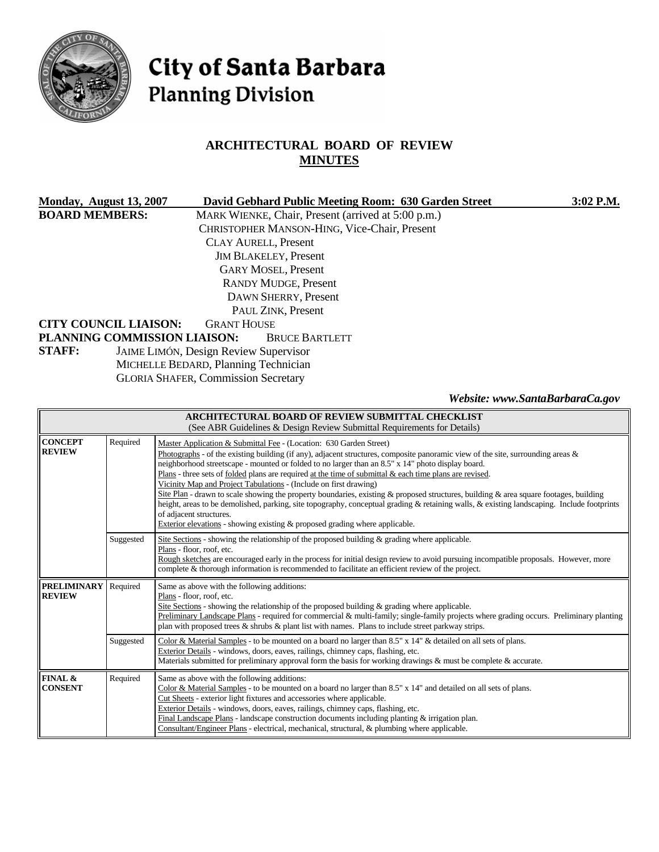

# City of Santa Barbara **Planning Division**

# **ARCHITECTURAL BOARD OF REVIEW MINUTES**

| Monday, August 13, 2007                             |                                              | David Gebhard Public Meeting Room: 630 Garden Street | $3:02$ P.M. |
|-----------------------------------------------------|----------------------------------------------|------------------------------------------------------|-------------|
| <b>BOARD MEMBERS:</b>                               |                                              | MARK WIENKE, Chair, Present (arrived at 5:00 p.m.)   |             |
|                                                     |                                              | CHRISTOPHER MANSON-HING, Vice-Chair, Present         |             |
|                                                     |                                              | <b>CLAY AURELL, Present</b>                          |             |
|                                                     |                                              | <b>JIM BLAKELEY, Present</b>                         |             |
|                                                     |                                              | <b>GARY MOSEL, Present</b>                           |             |
| <b>RANDY MUDGE, Present</b><br>DAWN SHERRY, Present |                                              |                                                      |             |
|                                                     |                                              |                                                      |             |
| PAUL ZINK, Present                                  |                                              |                                                      |             |
| <b>CITY COUNCIL LIAISON:</b>                        | <b>GRANT HOUSE</b>                           |                                                      |             |
|                                                     | PLANNING COMMISSION LIAISON:                 | <b>BRUCE BARTLETT</b>                                |             |
| <b>STAFF:</b>                                       | <b>JAIME LIMÓN, Design Review Supervisor</b> |                                                      |             |
|                                                     | MICHELLE BEDARD, Planning Technician         |                                                      |             |
|                                                     | <b>GLORIA SHAFER, Commission Secretary</b>   |                                                      |             |
|                                                     |                                              |                                                      |             |

*Website: www.SantaBarbaraCa.gov* 

| ARCHITECTURAL BOARD OF REVIEW SUBMITTAL CHECKLIST<br>(See ABR Guidelines & Design Review Submittal Requirements for Details) |           |                                                                                                                                                                                                                                                                                                                                                                                                                                                                                                                                                                                                                                                                                                                                                                                                                                                                                                             |  |
|------------------------------------------------------------------------------------------------------------------------------|-----------|-------------------------------------------------------------------------------------------------------------------------------------------------------------------------------------------------------------------------------------------------------------------------------------------------------------------------------------------------------------------------------------------------------------------------------------------------------------------------------------------------------------------------------------------------------------------------------------------------------------------------------------------------------------------------------------------------------------------------------------------------------------------------------------------------------------------------------------------------------------------------------------------------------------|--|
| <b>CONCEPT</b><br><b>REVIEW</b>                                                                                              | Required  | Master Application & Submittal Fee - (Location: 630 Garden Street)<br>Photographs - of the existing building (if any), adjacent structures, composite panoramic view of the site, surrounding areas $\&$<br>neighborhood streetscape - mounted or folded to no larger than an 8.5" x 14" photo display board.<br>Plans - three sets of <u>folded</u> plans are required at the time of submittal $\&$ each time plans are revised.<br>Vicinity Map and Project Tabulations - (Include on first drawing)<br>Site Plan - drawn to scale showing the property boundaries, existing & proposed structures, building & area square footages, building<br>height, areas to be demolished, parking, site topography, conceptual grading & retaining walls, & existing landscaping. Include footprints<br>of adjacent structures.<br>Exterior elevations - showing existing $\&$ proposed grading where applicable. |  |
|                                                                                                                              | Suggested | Site Sections - showing the relationship of the proposed building $\&$ grading where applicable.<br>Plans - floor, roof, etc.<br>Rough sketches are encouraged early in the process for initial design review to avoid pursuing incompatible proposals. However, more<br>complete & thorough information is recommended to facilitate an efficient review of the project.                                                                                                                                                                                                                                                                                                                                                                                                                                                                                                                                   |  |
| <b>PRELIMINARY</b><br><b>REVIEW</b>                                                                                          | Required  | Same as above with the following additions:<br>Plans - floor, roof, etc.<br>Site Sections - showing the relationship of the proposed building $\&$ grading where applicable.<br>Preliminary Landscape Plans - required for commercial & multi-family; single-family projects where grading occurs. Preliminary planting<br>plan with proposed trees $\&$ shrubs $\&$ plant list with names. Plans to include street parkway strips.                                                                                                                                                                                                                                                                                                                                                                                                                                                                         |  |
|                                                                                                                              | Suggested | Color & Material Samples - to be mounted on a board no larger than 8.5" x 14" & detailed on all sets of plans.<br>Exterior Details - windows, doors, eaves, railings, chimney caps, flashing, etc.<br>Materials submitted for preliminary approval form the basis for working drawings & must be complete & accurate.                                                                                                                                                                                                                                                                                                                                                                                                                                                                                                                                                                                       |  |
| FINAL &<br><b>CONSENT</b>                                                                                                    | Required  | Same as above with the following additions:<br>Color & Material Samples - to be mounted on a board no larger than 8.5" x 14" and detailed on all sets of plans.<br>Cut Sheets - exterior light fixtures and accessories where applicable.<br>Exterior Details - windows, doors, eaves, railings, chimney caps, flashing, etc.<br>Final Landscape Plans - landscape construction documents including planting $\&$ irrigation plan.<br>Consultant/Engineer Plans - electrical, mechanical, structural, & plumbing where applicable.                                                                                                                                                                                                                                                                                                                                                                          |  |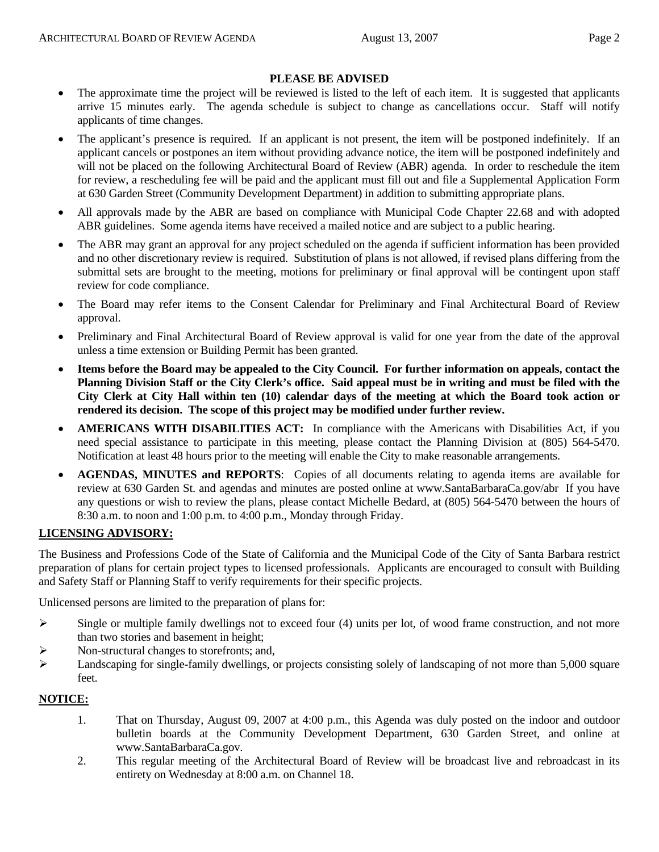#### **PLEASE BE ADVISED**

- The approximate time the project will be reviewed is listed to the left of each item. It is suggested that applicants arrive 15 minutes early. The agenda schedule is subject to change as cancellations occur. Staff will notify applicants of time changes.
- The applicant's presence is required. If an applicant is not present, the item will be postponed indefinitely. If an applicant cancels or postpones an item without providing advance notice, the item will be postponed indefinitely and will not be placed on the following Architectural Board of Review (ABR) agenda. In order to reschedule the item for review, a rescheduling fee will be paid and the applicant must fill out and file a Supplemental Application Form at 630 Garden Street (Community Development Department) in addition to submitting appropriate plans.
- All approvals made by the ABR are based on compliance with Municipal Code Chapter 22.68 and with adopted ABR guidelines. Some agenda items have received a mailed notice and are subject to a public hearing.
- The ABR may grant an approval for any project scheduled on the agenda if sufficient information has been provided and no other discretionary review is required. Substitution of plans is not allowed, if revised plans differing from the submittal sets are brought to the meeting, motions for preliminary or final approval will be contingent upon staff review for code compliance.
- The Board may refer items to the Consent Calendar for Preliminary and Final Architectural Board of Review approval.
- Preliminary and Final Architectural Board of Review approval is valid for one year from the date of the approval unless a time extension or Building Permit has been granted.
- **Items before the Board may be appealed to the City Council. For further information on appeals, contact the Planning Division Staff or the City Clerk's office. Said appeal must be in writing and must be filed with the City Clerk at City Hall within ten (10) calendar days of the meeting at which the Board took action or rendered its decision. The scope of this project may be modified under further review.**
- **AMERICANS WITH DISABILITIES ACT:** In compliance with the Americans with Disabilities Act, if you need special assistance to participate in this meeting, please contact the Planning Division at (805) 564-5470. Notification at least 48 hours prior to the meeting will enable the City to make reasonable arrangements.
- **AGENDAS, MINUTES and REPORTS**: Copies of all documents relating to agenda items are available for review at 630 Garden St. and agendas and minutes are posted online at www.SantaBarbaraCa.gov/abr If you have any questions or wish to review the plans, please contact Michelle Bedard, at (805) 564-5470 between the hours of 8:30 a.m. to noon and 1:00 p.m. to 4:00 p.m., Monday through Friday.

## **LICENSING ADVISORY:**

The Business and Professions Code of the State of California and the Municipal Code of the City of Santa Barbara restrict preparation of plans for certain project types to licensed professionals. Applicants are encouraged to consult with Building and Safety Staff or Planning Staff to verify requirements for their specific projects.

Unlicensed persons are limited to the preparation of plans for:

- $\triangleright$  Single or multiple family dwellings not to exceed four (4) units per lot, of wood frame construction, and not more than two stories and basement in height;
- ¾ Non-structural changes to storefronts; and,
- $\blacktriangleright$  Landscaping for single-family dwellings, or projects consisting solely of landscaping of not more than 5,000 square feet.

## **NOTICE:**

- 1. That on Thursday, August 09, 2007 at 4:00 p.m., this Agenda was duly posted on the indoor and outdoor bulletin boards at the Community Development Department, 630 Garden Street, and online at www.SantaBarbaraCa.gov.
- 2. This regular meeting of the Architectural Board of Review will be broadcast live and rebroadcast in its entirety on Wednesday at 8:00 a.m. on Channel 18.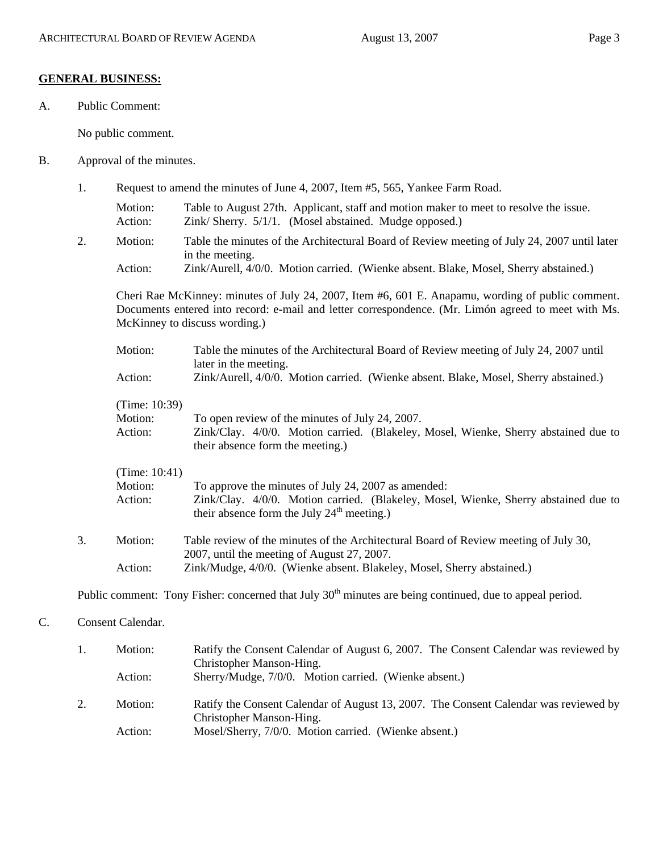#### **GENERAL BUSINESS:**

A. Public Comment:

No public comment.

- B. Approval of the minutes.
	- 1. Request to amend the minutes of June 4, 2007, Item #5, 565, Yankee Farm Road.
		- Motion: Table to August 27th. Applicant, staff and motion maker to meet to resolve the issue. Action: Zink/ Sherry. 5/1/1. (Mosel abstained. Mudge opposed.)
	- 2. Motion: Table the minutes of the Architectural Board of Review meeting of July 24, 2007 until later in the meeting. Action: Zink/Aurell, 4/0/0. Motion carried. (Wienke absent. Blake, Mosel, Sherry abstained.)

Cheri Rae McKinney: minutes of July 24, 2007, Item #6, 601 E. Anapamu, wording of public comment. Documents entered into record: e-mail and letter correspondence. (Mr. Limón agreed to meet with Ms. McKinney to discuss wording.)

- Motion: Table the minutes of the Architectural Board of Review meeting of July 24, 2007 until later in the meeting. Action: Zink/Aurell, 4/0/0. Motion carried. (Wienke absent. Blake, Mosel, Sherry abstained.) (Time: 10:39) Motion: To open review of the minutes of July 24, 2007.
- Action: Zink/Clay. 4/0/0. Motion carried. (Blakeley, Mosel, Wienke, Sherry abstained due to their absence form the meeting.)

#### (Time: 10:41)

| Motion: | To approve the minutes of July 24, 2007 as amended:                                 |
|---------|-------------------------------------------------------------------------------------|
| Action: | Zink/Clay. 4/0/0. Motion carried. (Blakeley, Mosel, Wienke, Sherry abstained due to |
|         | their absence form the July $24th$ meeting.)                                        |

3. Motion: Table review of the minutes of the Architectural Board of Review meeting of July 30, 2007, until the meeting of August 27, 2007. Action: Zink/Mudge, 4/0/0. (Wienke absent. Blakeley, Mosel, Sherry abstained.)

Public comment: Tony Fisher: concerned that July 30<sup>th</sup> minutes are being continued, due to appeal period.

## C. Consent Calendar.

|    | Motion: | Ratify the Consent Calendar of August 6, 2007. The Consent Calendar was reviewed by<br>Christopher Manson-Hing.  |
|----|---------|------------------------------------------------------------------------------------------------------------------|
|    | Action: | Sherry/Mudge, 7/0/0. Motion carried. (Wienke absent.)                                                            |
| 2. | Motion: | Ratify the Consent Calendar of August 13, 2007. The Consent Calendar was reviewed by<br>Christopher Manson-Hing. |
|    | Action: | Mosel/Sherry, 7/0/0. Motion carried. (Wienke absent.)                                                            |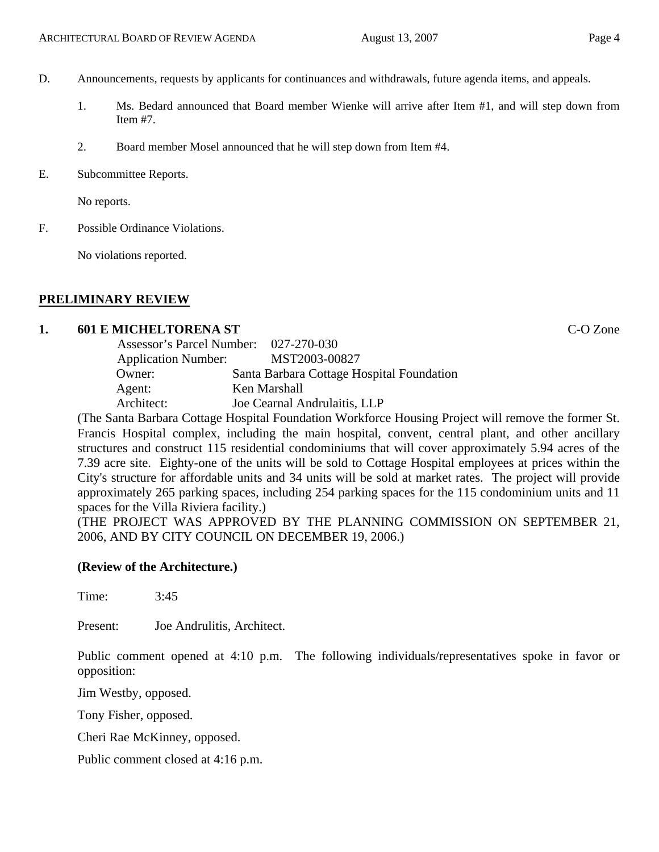- D. Announcements, requests by applicants for continuances and withdrawals, future agenda items, and appeals.
	- 1. Ms. Bedard announced that Board member Wienke will arrive after Item #1, and will step down from Item #7.
	- 2. Board member Mosel announced that he will step down from Item #4.
- E. Subcommittee Reports.

No reports.

F. Possible Ordinance Violations.

No violations reported.

#### **PRELIMINARY REVIEW**

## **1. 601 E MICHELTORENA ST** C-O Zone

| Assessor's Parcel Number: 027-270-030 |                                                                                         |
|---------------------------------------|-----------------------------------------------------------------------------------------|
| <b>Application Number:</b>            | MST2003-00827                                                                           |
| Owner:                                | Santa Barbara Cottage Hospital Foundation                                               |
| Agent:                                | Ken Marshall                                                                            |
| Architect:                            | Joe Cearnal Andrulaitis, LLP                                                            |
| $\sim$ $\sim$ $\sim$ $\sim$           | $\mathbf{r}$ , $\mathbf{r}$ , $\mathbf{r}$ , $\mathbf{r}$ , $\mathbf{r}$ , $\mathbf{r}$ |

(The Santa Barbara Cottage Hospital Foundation Workforce Housing Project will remove the former St. Francis Hospital complex, including the main hospital, convent, central plant, and other ancillary structures and construct 115 residential condominiums that will cover approximately 5.94 acres of the 7.39 acre site. Eighty-one of the units will be sold to Cottage Hospital employees at prices within the City's structure for affordable units and 34 units will be sold at market rates. The project will provide approximately 265 parking spaces, including 254 parking spaces for the 115 condominium units and 11 spaces for the Villa Riviera facility.)

(THE PROJECT WAS APPROVED BY THE PLANNING COMMISSION ON SEPTEMBER 21, 2006, AND BY CITY COUNCIL ON DECEMBER 19, 2006.)

## **(Review of the Architecture.)**

Time: 3:45

Present: Joe Andrulitis, Architect.

Public comment opened at 4:10 p.m. The following individuals/representatives spoke in favor or opposition:

Jim Westby, opposed.

Tony Fisher, opposed.

Cheri Rae McKinney, opposed.

Public comment closed at 4:16 p.m.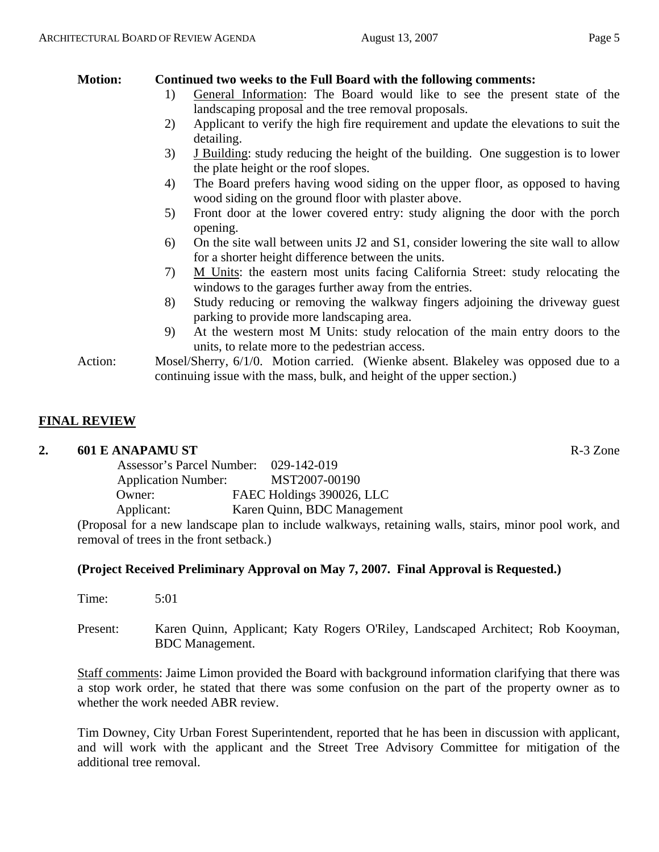## **Motion: Continued two weeks to the Full Board with the following comments:**

- 1) General Information: The Board would like to see the present state of the landscaping proposal and the tree removal proposals.
- 2) Applicant to verify the high fire requirement and update the elevations to suit the detailing.
- 3) J Building: study reducing the height of the building. One suggestion is to lower the plate height or the roof slopes.
- 4) The Board prefers having wood siding on the upper floor, as opposed to having wood siding on the ground floor with plaster above.
- 5) Front door at the lower covered entry: study aligning the door with the porch opening.
- 6) On the site wall between units J2 and S1, consider lowering the site wall to allow for a shorter height difference between the units.
- 7) M Units: the eastern most units facing California Street: study relocating the windows to the garages further away from the entries.
- 8) Study reducing or removing the walkway fingers adjoining the driveway guest parking to provide more landscaping area.
- 9) At the western most M Units: study relocation of the main entry doors to the units, to relate more to the pedestrian access.
- Action: Mosel/Sherry, 6/1/0. Motion carried. (Wienke absent. Blakeley was opposed due to a continuing issue with the mass, bulk, and height of the upper section.)

# **FINAL REVIEW**

## **2. 601 E ANAPAMU ST** R-3 Zone

| Assessor's Parcel Number:  | 029-142-019                                                    |
|----------------------------|----------------------------------------------------------------|
| <b>Application Number:</b> | MST2007-00190                                                  |
| Owner:                     | FAEC Holdings 390026, LLC                                      |
| Applicant:                 | Karen Quinn, BDC Management                                    |
|                            | (Proposal for a new landscape plan to include walkways, retain |

(Proposal for a new landscape plan to include walkways, retaining walls, stairs, minor pool work, and removal of trees in the front setback.)

## **(Project Received Preliminary Approval on May 7, 2007. Final Approval is Requested.)**

| Time:    | 5:01                                                                                                      |
|----------|-----------------------------------------------------------------------------------------------------------|
| Present: | Karen Quinn, Applicant; Katy Rogers O'Riley, Landscaped Architect; Rob Kooyman,<br><b>BDC</b> Management. |

Staff comments: Jaime Limon provided the Board with background information clarifying that there was a stop work order, he stated that there was some confusion on the part of the property owner as to whether the work needed ABR review.

Tim Downey, City Urban Forest Superintendent, reported that he has been in discussion with applicant, and will work with the applicant and the Street Tree Advisory Committee for mitigation of the additional tree removal.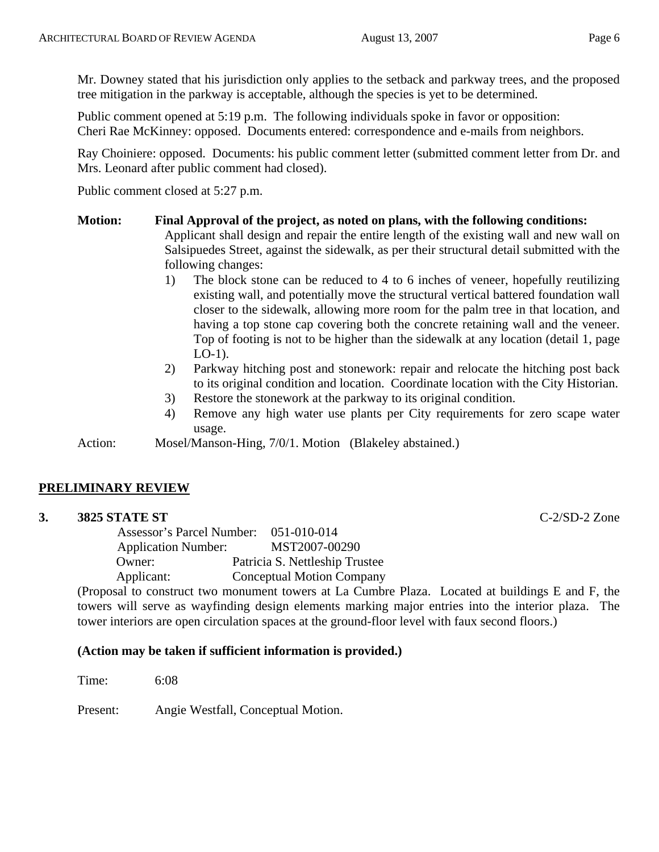Mr. Downey stated that his jurisdiction only applies to the setback and parkway trees, and the proposed tree mitigation in the parkway is acceptable, although the species is yet to be determined.

Public comment opened at 5:19 p.m. The following individuals spoke in favor or opposition: Cheri Rae McKinney: opposed. Documents entered: correspondence and e-mails from neighbors.

Ray Choiniere: opposed. Documents: his public comment letter (submitted comment letter from Dr. and Mrs. Leonard after public comment had closed).

Public comment closed at 5:27 p.m.

#### **Motion: Final Approval of the project, as noted on plans, with the following conditions:**

Applicant shall design and repair the entire length of the existing wall and new wall on Salsipuedes Street, against the sidewalk, as per their structural detail submitted with the following changes:

- 1) The block stone can be reduced to 4 to 6 inches of veneer, hopefully reutilizing existing wall, and potentially move the structural vertical battered foundation wall closer to the sidewalk, allowing more room for the palm tree in that location, and having a top stone cap covering both the concrete retaining wall and the veneer. Top of footing is not to be higher than the sidewalk at any location (detail 1, page LO-1).
- 2) Parkway hitching post and stonework: repair and relocate the hitching post back to its original condition and location. Coordinate location with the City Historian.
- 3) Restore the stonework at the parkway to its original condition.
- 4) Remove any high water use plants per City requirements for zero scape water usage.

Action: Mosel/Manson-Hing, 7/0/1. Motion (Blakeley abstained.)

## **PRELIMINARY REVIEW**

## **3. 3825 STATE ST** C-2/SD-2 Zone

 Assessor's Parcel Number: 051-010-014 Application Number: MST2007-00290 Owner: Patricia S. Nettleship Trustee Applicant: Conceptual Motion Company

(Proposal to construct two monument towers at La Cumbre Plaza. Located at buildings E and F, the towers will serve as wayfinding design elements marking major entries into the interior plaza. The tower interiors are open circulation spaces at the ground-floor level with faux second floors.)

## **(Action may be taken if sufficient information is provided.)**

Time: 6:08

Present: Angie Westfall, Conceptual Motion.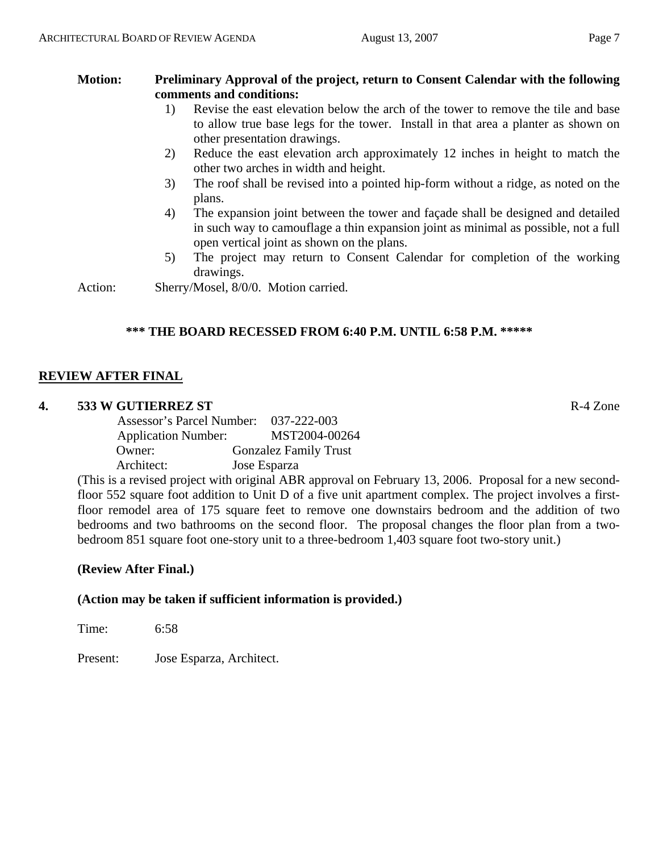## **Motion: Preliminary Approval of the project, return to Consent Calendar with the following comments and conditions:**

- 1) Revise the east elevation below the arch of the tower to remove the tile and base to allow true base legs for the tower. Install in that area a planter as shown on other presentation drawings.
- 2) Reduce the east elevation arch approximately 12 inches in height to match the other two arches in width and height.
- 3) The roof shall be revised into a pointed hip-form without a ridge, as noted on the plans.
- 4) The expansion joint between the tower and façade shall be designed and detailed in such way to camouflage a thin expansion joint as minimal as possible, not a full open vertical joint as shown on the plans.
- 5) The project may return to Consent Calendar for completion of the working drawings.

Action: Sherry/Mosel, 8/0/0. Motion carried.

## **\*\*\* THE BOARD RECESSED FROM 6:40 P.M. UNTIL 6:58 P.M. \*\*\*\*\***

## **REVIEW AFTER FINAL**

## **4. 533 W GUTIERREZ ST** R-4 Zone

|                            | Assessor's Parcel Number: 037-222-003 |
|----------------------------|---------------------------------------|
| <b>Application Number:</b> | MST2004-00264                         |
| Owner:                     | <b>Gonzalez Family Trust</b>          |
| Architect:                 | Jose Esparza                          |

(This is a revised project with original ABR approval on February 13, 2006. Proposal for a new secondfloor 552 square foot addition to Unit D of a five unit apartment complex. The project involves a firstfloor remodel area of 175 square feet to remove one downstairs bedroom and the addition of two bedrooms and two bathrooms on the second floor. The proposal changes the floor plan from a twobedroom 851 square foot one-story unit to a three-bedroom 1,403 square foot two-story unit.)

## **(Review After Final.)**

## **(Action may be taken if sufficient information is provided.)**

Time: 6:58

Present: Jose Esparza, Architect.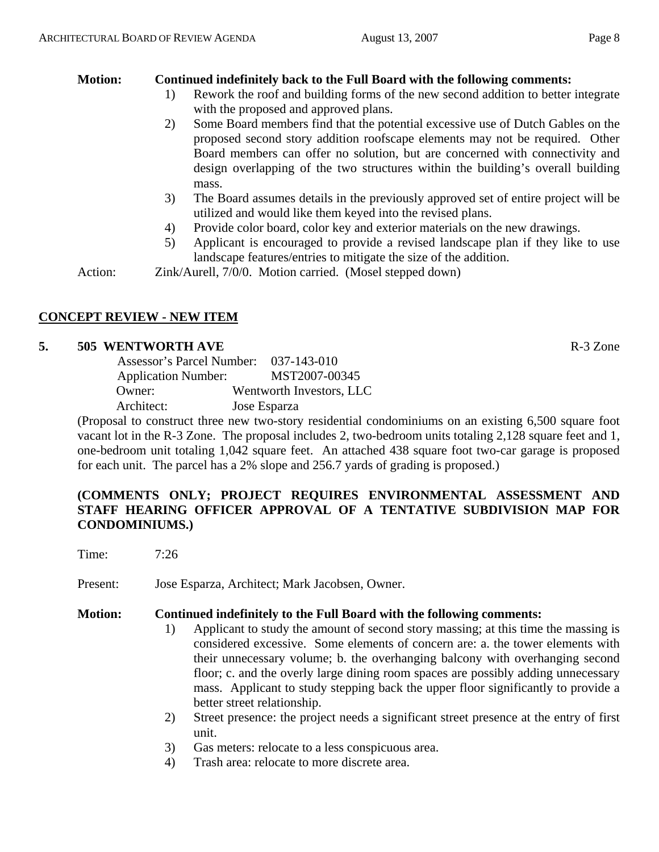## **Motion: Continued indefinitely back to the Full Board with the following comments:**

- 1) Rework the roof and building forms of the new second addition to better integrate with the proposed and approved plans.
- 2) Some Board members find that the potential excessive use of Dutch Gables on the proposed second story addition roofscape elements may not be required. Other Board members can offer no solution, but are concerned with connectivity and design overlapping of the two structures within the building's overall building mass.
- 3) The Board assumes details in the previously approved set of entire project will be utilized and would like them keyed into the revised plans.
- 4) Provide color board, color key and exterior materials on the new drawings.
- 5) Applicant is encouraged to provide a revised landscape plan if they like to use landscape features/entries to mitigate the size of the addition.

Action: *Zink/Aurell, 7/0/0.* Motion carried. (Mosel stepped down)

## **CONCEPT REVIEW - NEW ITEM**

## **5. 505 WENTWORTH AVE**  R-3 Zone

| <b>Assessor's Parcel Number:</b> | 037-143-010              |
|----------------------------------|--------------------------|
| <b>Application Number:</b>       | MST2007-00345            |
| Owner:                           | Wentworth Investors, LLC |
| Architect:                       | Jose Esparza             |

(Proposal to construct three new two-story residential condominiums on an existing 6,500 square foot vacant lot in the R-3 Zone. The proposal includes 2, two-bedroom units totaling 2,128 square feet and 1, one-bedroom unit totaling 1,042 square feet. An attached 438 square foot two-car garage is proposed for each unit. The parcel has a 2% slope and 256.7 yards of grading is proposed.)

## **(COMMENTS ONLY; PROJECT REQUIRES ENVIRONMENTAL ASSESSMENT AND STAFF HEARING OFFICER APPROVAL OF A TENTATIVE SUBDIVISION MAP FOR CONDOMINIUMS.)**

Time: 7:26

Present: Jose Esparza, Architect; Mark Jacobsen, Owner.

## **Motion: Continued indefinitely to the Full Board with the following comments:**

- 1) Applicant to study the amount of second story massing; at this time the massing is considered excessive. Some elements of concern are: a. the tower elements with their unnecessary volume; b. the overhanging balcony with overhanging second floor; c. and the overly large dining room spaces are possibly adding unnecessary mass. Applicant to study stepping back the upper floor significantly to provide a better street relationship.
- 2) Street presence: the project needs a significant street presence at the entry of first unit.
- 3) Gas meters: relocate to a less conspicuous area.
- 4) Trash area: relocate to more discrete area.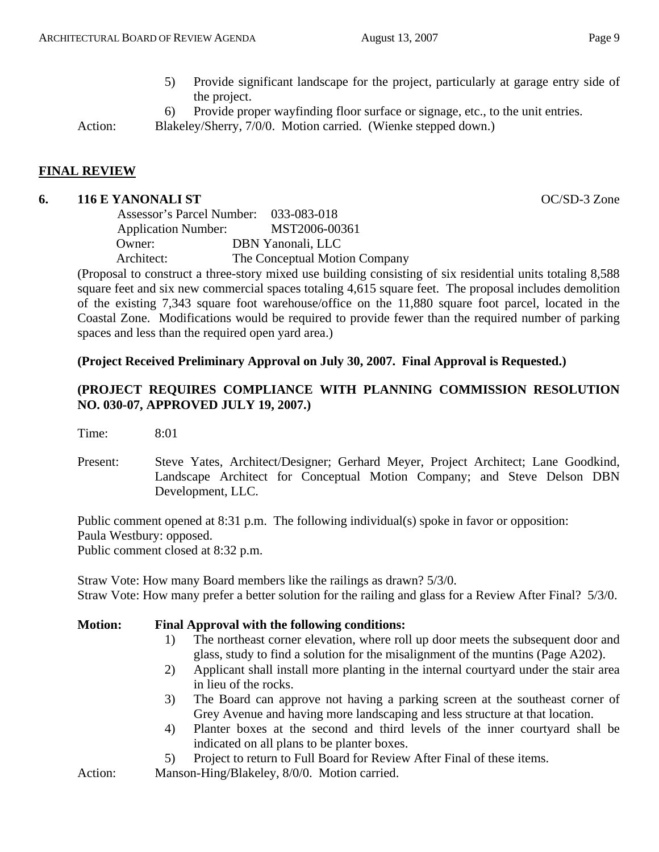- 5) Provide significant landscape for the project, particularly at garage entry side of the project.
- 6) Provide proper wayfinding floor surface or signage, etc., to the unit entries.

Action: Blakeley/Sherry, 7/0/0. Motion carried. (Wienke stepped down.)

## **FINAL REVIEW**

#### **6. 116 E YANONALI ST** OC/SD-3 Zone

 Assessor's Parcel Number: 033-083-018 Application Number: MST2006-00361 Owner: DBN Yanonali, LLC Architect: The Conceptual Motion Company

(Proposal to construct a three-story mixed use building consisting of six residential units totaling 8,588 square feet and six new commercial spaces totaling 4,615 square feet. The proposal includes demolition of the existing 7,343 square foot warehouse/office on the 11,880 square foot parcel, located in the Coastal Zone. Modifications would be required to provide fewer than the required number of parking spaces and less than the required open yard area.)

## **(Project Received Preliminary Approval on July 30, 2007. Final Approval is Requested.)**

## **(PROJECT REQUIRES COMPLIANCE WITH PLANNING COMMISSION RESOLUTION NO. 030-07, APPROVED JULY 19, 2007.)**

Time: 8:01

Present: Steve Yates, Architect/Designer; Gerhard Meyer, Project Architect; Lane Goodkind, Landscape Architect for Conceptual Motion Company; and Steve Delson DBN Development, LLC.

Public comment opened at 8:31 p.m. The following individual(s) spoke in favor or opposition:

Paula Westbury: opposed.

Public comment closed at 8:32 p.m.

Straw Vote: How many Board members like the railings as drawn? 5/3/0. Straw Vote: How many prefer a better solution for the railing and glass for a Review After Final? 5/3/0.

#### **Motion: Final Approval with the following conditions:**

- 1) The northeast corner elevation, where roll up door meets the subsequent door and glass, study to find a solution for the misalignment of the muntins (Page A202).
- 2) Applicant shall install more planting in the internal courtyard under the stair area in lieu of the rocks.
- 3) The Board can approve not having a parking screen at the southeast corner of Grey Avenue and having more landscaping and less structure at that location.
- 4) Planter boxes at the second and third levels of the inner courtyard shall be indicated on all plans to be planter boxes.
- 5) Project to return to Full Board for Review After Final of these items.

Action: Manson-Hing/Blakeley, 8/0/0. Motion carried.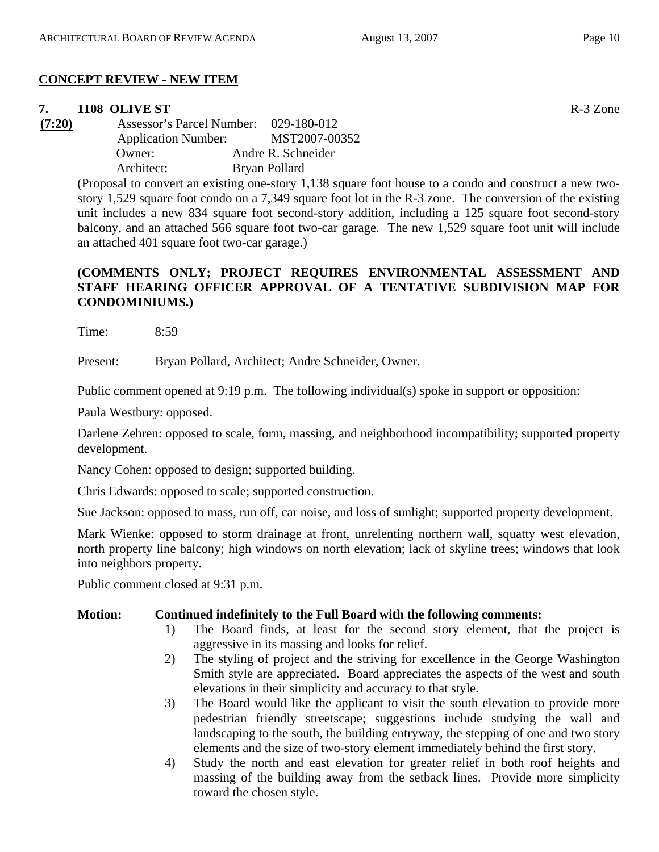# **CONCEPT REVIEW - NEW ITEM**

## **7. 1108 OLIVE ST** R-3 Zone

**(7:20)** Assessor's Parcel Number: 029-180-012 Application Number: MST2007-00352 Owner: Andre R. Schneider Architect: Bryan Pollard

> (Proposal to convert an existing one-story 1,138 square foot house to a condo and construct a new twostory 1,529 square foot condo on a 7,349 square foot lot in the R-3 zone. The conversion of the existing unit includes a new 834 square foot second-story addition, including a 125 square foot second-story balcony, and an attached 566 square foot two-car garage. The new 1,529 square foot unit will include an attached 401 square foot two-car garage.)

## **(COMMENTS ONLY; PROJECT REQUIRES ENVIRONMENTAL ASSESSMENT AND STAFF HEARING OFFICER APPROVAL OF A TENTATIVE SUBDIVISION MAP FOR CONDOMINIUMS.)**

Time: 8:59

Present: Bryan Pollard, Architect; Andre Schneider, Owner.

Public comment opened at 9:19 p.m. The following individual(s) spoke in support or opposition:

Paula Westbury: opposed.

Darlene Zehren: opposed to scale, form, massing, and neighborhood incompatibility; supported property development.

Nancy Cohen: opposed to design; supported building.

Chris Edwards: opposed to scale; supported construction.

Sue Jackson: opposed to mass, run off, car noise, and loss of sunlight; supported property development.

Mark Wienke: opposed to storm drainage at front, unrelenting northern wall, squatty west elevation, north property line balcony; high windows on north elevation; lack of skyline trees; windows that look into neighbors property.

Public comment closed at 9:31 p.m.

# **Motion: Continued indefinitely to the Full Board with the following comments:**

- 1) The Board finds, at least for the second story element, that the project is aggressive in its massing and looks for relief.
- 2) The styling of project and the striving for excellence in the George Washington Smith style are appreciated. Board appreciates the aspects of the west and south elevations in their simplicity and accuracy to that style.
- 3) The Board would like the applicant to visit the south elevation to provide more pedestrian friendly streetscape; suggestions include studying the wall and landscaping to the south, the building entryway, the stepping of one and two story elements and the size of two-story element immediately behind the first story.
- 4) Study the north and east elevation for greater relief in both roof heights and massing of the building away from the setback lines. Provide more simplicity toward the chosen style.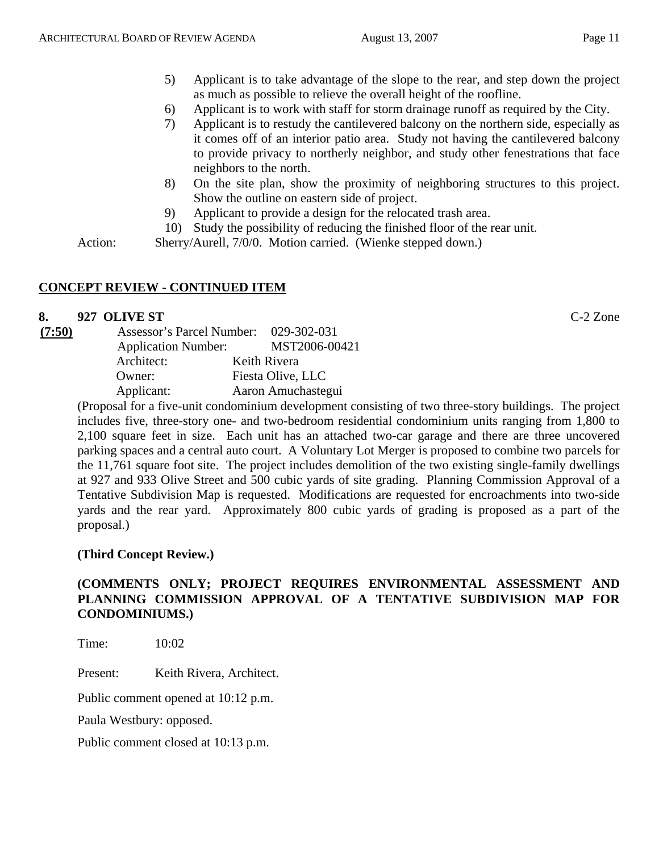- 5) Applicant is to take advantage of the slope to the rear, and step down the project as much as possible to relieve the overall height of the roofline.
- 6) Applicant is to work with staff for storm drainage runoff as required by the City.
- 7) Applicant is to restudy the cantilevered balcony on the northern side, especially as it comes off of an interior patio area. Study not having the cantilevered balcony to provide privacy to northerly neighbor, and study other fenestrations that face neighbors to the north.
- 8) On the site plan, show the proximity of neighboring structures to this project. Show the outline on eastern side of project.
- 9) Applicant to provide a design for the relocated trash area.
- 10) Study the possibility of reducing the finished floor of the rear unit.

Action: Sherry/Aurell, 7/0/0. Motion carried. (Wienke stepped down.)

# **CONCEPT REVIEW - CONTINUED ITEM**

## **8. 927 OLIVE ST** C-2 Zone

| (7:50) | Assessor's Parcel Number:  | 029-302-031        |
|--------|----------------------------|--------------------|
|        | <b>Application Number:</b> | MST2006-00421      |
|        | Architect:                 | Keith Rivera       |
|        | Owner:                     | Fiesta Olive, LLC  |
|        | Applicant:                 | Aaron Amuchastegui |

(Proposal for a five-unit condominium development consisting of two three-story buildings. The project includes five, three-story one- and two-bedroom residential condominium units ranging from 1,800 to 2,100 square feet in size. Each unit has an attached two-car garage and there are three uncovered parking spaces and a central auto court. A Voluntary Lot Merger is proposed to combine two parcels for the 11,761 square foot site. The project includes demolition of the two existing single-family dwellings at 927 and 933 Olive Street and 500 cubic yards of site grading. Planning Commission Approval of a Tentative Subdivision Map is requested. Modifications are requested for encroachments into two-side yards and the rear yard. Approximately 800 cubic yards of grading is proposed as a part of the proposal.)

## **(Third Concept Review.)**

## **(COMMENTS ONLY; PROJECT REQUIRES ENVIRONMENTAL ASSESSMENT AND PLANNING COMMISSION APPROVAL OF A TENTATIVE SUBDIVISION MAP FOR CONDOMINIUMS.)**

Time: 10:02

Present: Keith Rivera, Architect.

Public comment opened at 10:12 p.m.

Paula Westbury: opposed.

Public comment closed at 10:13 p.m.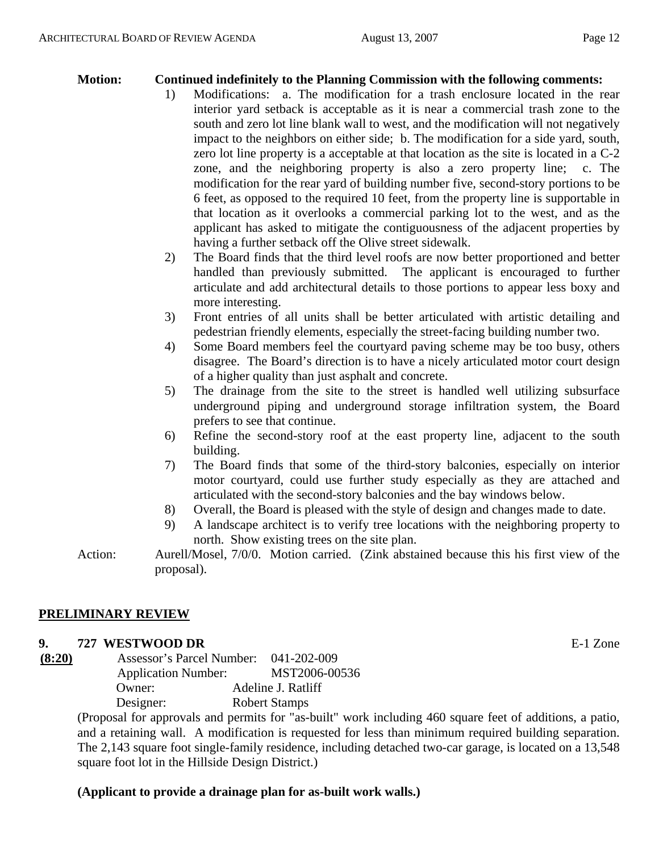## **Motion: Continued indefinitely to the Planning Commission with the following comments:**

- 1) Modifications: a. The modification for a trash enclosure located in the rear interior yard setback is acceptable as it is near a commercial trash zone to the south and zero lot line blank wall to west, and the modification will not negatively impact to the neighbors on either side; b. The modification for a side yard, south, zero lot line property is a acceptable at that location as the site is located in a C-2 zone, and the neighboring property is also a zero property line; c. The modification for the rear yard of building number five, second-story portions to be 6 feet, as opposed to the required 10 feet, from the property line is supportable in that location as it overlooks a commercial parking lot to the west, and as the applicant has asked to mitigate the contiguousness of the adjacent properties by having a further setback off the Olive street sidewalk.
- 2) The Board finds that the third level roofs are now better proportioned and better handled than previously submitted. The applicant is encouraged to further articulate and add architectural details to those portions to appear less boxy and more interesting.
- 3) Front entries of all units shall be better articulated with artistic detailing and pedestrian friendly elements, especially the street-facing building number two.
- 4) Some Board members feel the courtyard paving scheme may be too busy, others disagree. The Board's direction is to have a nicely articulated motor court design of a higher quality than just asphalt and concrete.
- 5) The drainage from the site to the street is handled well utilizing subsurface underground piping and underground storage infiltration system, the Board prefers to see that continue.
- 6) Refine the second-story roof at the east property line, adjacent to the south building.
- 7) The Board finds that some of the third-story balconies, especially on interior motor courtyard, could use further study especially as they are attached and articulated with the second-story balconies and the bay windows below.
- 8) Overall, the Board is pleased with the style of design and changes made to date.
- 9) A landscape architect is to verify tree locations with the neighboring property to north. Show existing trees on the site plan.
- Action: Aurell/Mosel, 7/0/0. Motion carried. (Zink abstained because this his first view of the proposal).

## **PRELIMINARY REVIEW**

## **9. 727 WESTWOOD DR** E-1 Zone

**(8:20)** Assessor's Parcel Number: 041-202-009 Application Number: MST2006-00536 Owner: Adeline J. Ratliff Designer: Robert Stamps

> (Proposal for approvals and permits for "as-built" work including 460 square feet of additions, a patio, and a retaining wall. A modification is requested for less than minimum required building separation. The 2,143 square foot single-family residence, including detached two-car garage, is located on a 13,548 square foot lot in the Hillside Design District.)

## **(Applicant to provide a drainage plan for as-built work walls.)**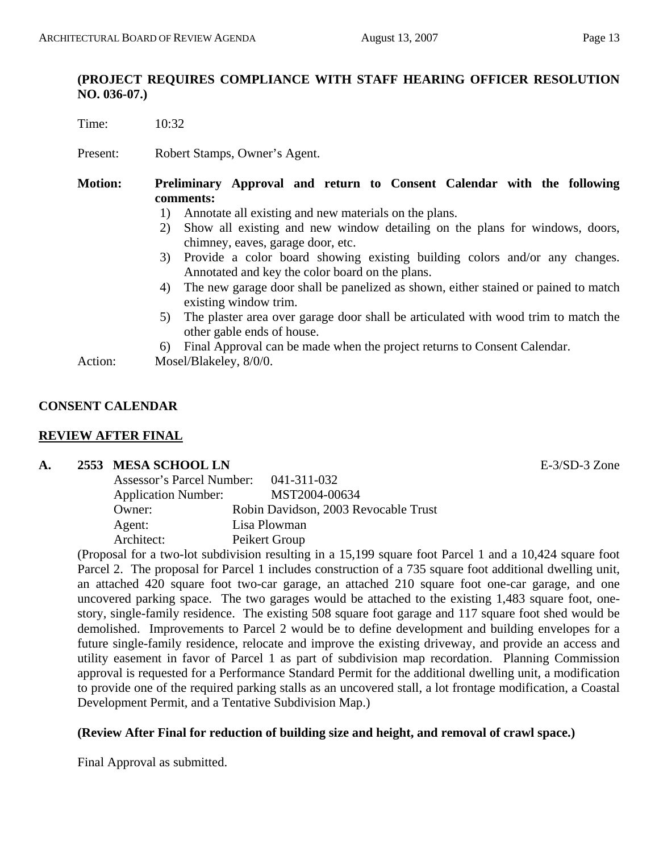## **(PROJECT REQUIRES COMPLIANCE WITH STAFF HEARING OFFICER RESOLUTION NO. 036-07.)**

Time: 10:32

Present: Robert Stamps, Owner's Agent.

- **Motion: Preliminary Approval and return to Consent Calendar with the following comments:** 
	- 1) Annotate all existing and new materials on the plans.
	- 2) Show all existing and new window detailing on the plans for windows, doors, chimney, eaves, garage door, etc.
	- 3) Provide a color board showing existing building colors and/or any changes. Annotated and key the color board on the plans.
	- 4) The new garage door shall be panelized as shown, either stained or pained to match existing window trim.
	- 5) The plaster area over garage door shall be articulated with wood trim to match the other gable ends of house.
	- 6) Final Approval can be made when the project returns to Consent Calendar.

Action: Mosel/Blakeley,  $8/0/0$ .

## **CONSENT CALENDAR**

## **REVIEW AFTER FINAL**

## **A. 2553 MESA SCHOOL LN** E-3/SD-3 Zone

| Assessor's Parcel Number:  | 041-311-032                          |
|----------------------------|--------------------------------------|
| <b>Application Number:</b> | MST2004-00634                        |
| Owner:                     | Robin Davidson, 2003 Revocable Trust |
| Agent:                     | Lisa Plowman                         |
| Architect:                 | Peikert Group                        |

(Proposal for a two-lot subdivision resulting in a 15,199 square foot Parcel 1 and a 10,424 square foot Parcel 2. The proposal for Parcel 1 includes construction of a 735 square foot additional dwelling unit, an attached 420 square foot two-car garage, an attached 210 square foot one-car garage, and one uncovered parking space. The two garages would be attached to the existing 1,483 square foot, onestory, single-family residence. The existing 508 square foot garage and 117 square foot shed would be demolished. Improvements to Parcel 2 would be to define development and building envelopes for a future single-family residence, relocate and improve the existing driveway, and provide an access and utility easement in favor of Parcel 1 as part of subdivision map recordation. Planning Commission approval is requested for a Performance Standard Permit for the additional dwelling unit, a modification to provide one of the required parking stalls as an uncovered stall, a lot frontage modification, a Coastal Development Permit, and a Tentative Subdivision Map.)

## **(Review After Final for reduction of building size and height, and removal of crawl space.)**

Final Approval as submitted.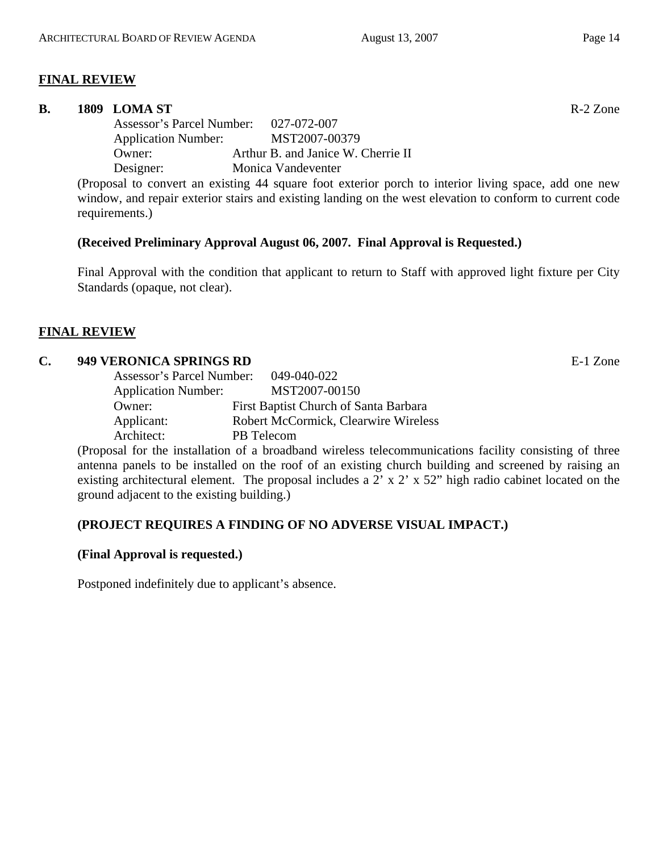## **FINAL REVIEW**

#### **B.** 1809 LOMA ST **R-2 Zone**

 Assessor's Parcel Number: 027-072-007 Application Number: MST2007-00379 Owner: Arthur B. and Janice W. Cherrie II Designer: Monica Vandeventer

(Proposal to convert an existing 44 square foot exterior porch to interior living space, add one new window, and repair exterior stairs and existing landing on the west elevation to conform to current code requirements.)

## **(Received Preliminary Approval August 06, 2007. Final Approval is Requested.)**

Final Approval with the condition that applicant to return to Staff with approved light fixture per City Standards (opaque, not clear).

## **FINAL REVIEW**

## **C. 949 VERONICA SPRINGS RD** E-1 Zone

| Assessor's Parcel Number:  | 049-040-022                                 |
|----------------------------|---------------------------------------------|
| <b>Application Number:</b> | MST2007-00150                               |
| Owner:                     | First Baptist Church of Santa Barbara       |
| Applicant:                 | <b>Robert McCormick, Clearwire Wireless</b> |
| Architect:                 | PB Telecom                                  |

(Proposal for the installation of a broadband wireless telecommunications facility consisting of three antenna panels to be installed on the roof of an existing church building and screened by raising an existing architectural element. The proposal includes a 2' x 2' x 52" high radio cabinet located on the ground adjacent to the existing building.)

## **(PROJECT REQUIRES A FINDING OF NO ADVERSE VISUAL IMPACT.)**

## **(Final Approval is requested.)**

Postponed indefinitely due to applicant's absence.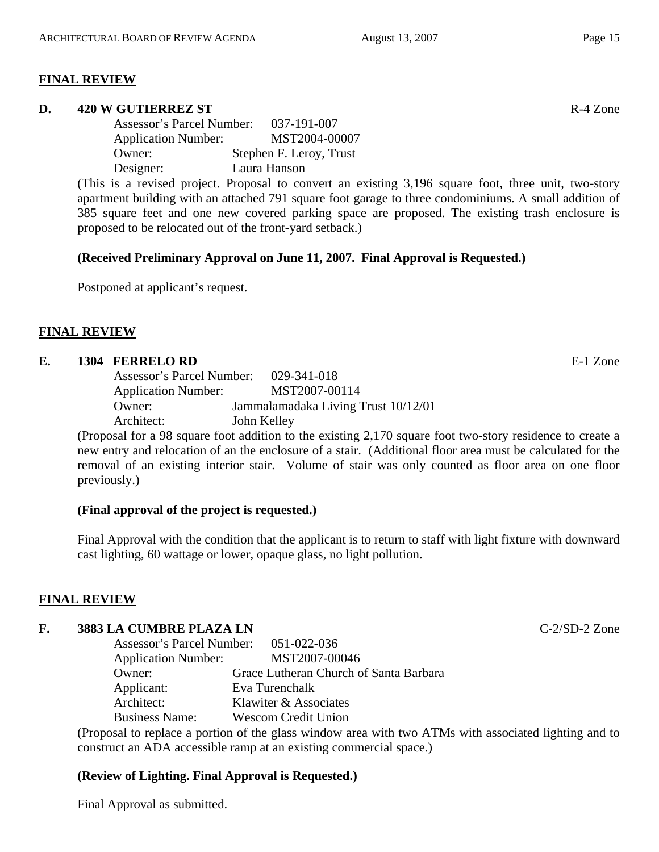#### **FINAL REVIEW**

#### **D. 420 W GUTIERREZ ST** R-4 Zone

 Assessor's Parcel Number: 037-191-007 Application Number: MST2004-00007 Owner: Stephen F. Leroy, Trust Designer: Laura Hanson

(This is a revised project. Proposal to convert an existing 3,196 square foot, three unit, two-story apartment building with an attached 791 square foot garage to three condominiums. A small addition of 385 square feet and one new covered parking space are proposed. The existing trash enclosure is proposed to be relocated out of the front-yard setback.)

#### **(Received Preliminary Approval on June 11, 2007. Final Approval is Requested.)**

Postponed at applicant's request.

## **FINAL REVIEW**

#### **E. 1304 FERRELO RD** E-1 Zone

| Assessor's Parcel Number:  | 029-341-018                         |
|----------------------------|-------------------------------------|
| <b>Application Number:</b> | MST2007-00114                       |
| Owner:                     | Jammalamadaka Living Trust 10/12/01 |
| Architect:                 | John Kelley                         |

(Proposal for a 98 square foot addition to the existing 2,170 square foot two-story residence to create a new entry and relocation of an the enclosure of a stair. (Additional floor area must be calculated for the removal of an existing interior stair. Volume of stair was only counted as floor area on one floor previously.)

## **(Final approval of the project is requested.)**

Final Approval with the condition that the applicant is to return to staff with light fixture with downward cast lighting, 60 wattage or lower, opaque glass, no light pollution.

#### **FINAL REVIEW**

# **F. 3883 LA CUMBRE PLAZA LN** C-2/SD-2 Zone

| Assessor's Parcel Number: 051-022-036 |                                        |
|---------------------------------------|----------------------------------------|
| <b>Application Number:</b>            | MST2007-00046                          |
| Owner:                                | Grace Lutheran Church of Santa Barbara |
| Applicant:                            | Eva Turenchalk                         |
| Architect:                            | Klawiter & Associates                  |
| <b>Business Name:</b>                 | <b>Wescom Credit Union</b>             |

(Proposal to replace a portion of the glass window area with two ATMs with associated lighting and to construct an ADA accessible ramp at an existing commercial space.)

## **(Review of Lighting. Final Approval is Requested.)**

Final Approval as submitted.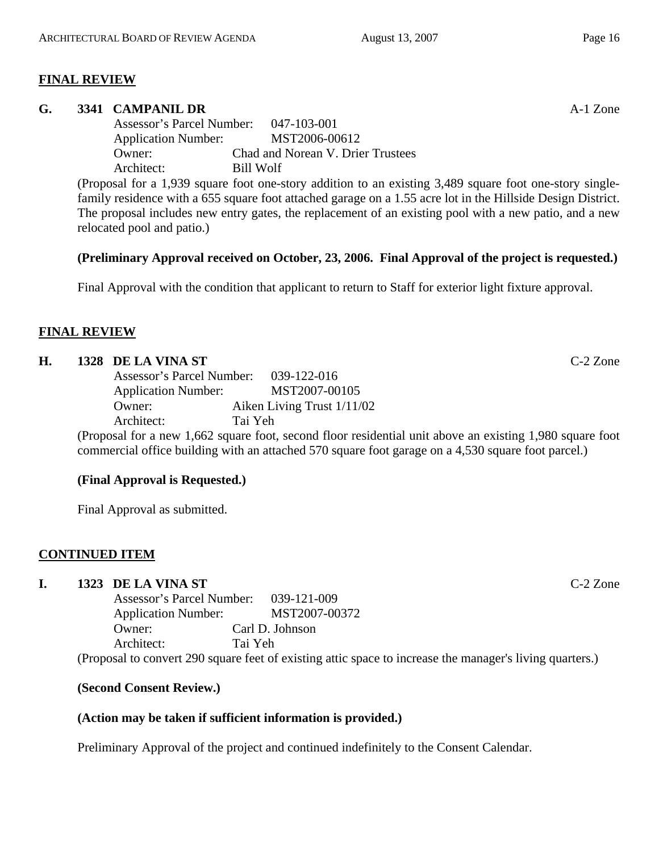## **FINAL REVIEW**

#### **G. 3341 CAMPANIL DR** A-1 Zone

 Assessor's Parcel Number: 047-103-001 Application Number: MST2006-00612 Owner: Chad and Norean V. Drier Trustees Architect: Bill Wolf

(Proposal for a 1,939 square foot one-story addition to an existing 3,489 square foot one-story singlefamily residence with a 655 square foot attached garage on a 1.55 acre lot in the Hillside Design District. The proposal includes new entry gates, the replacement of an existing pool with a new patio, and a new relocated pool and patio.)

## **(Preliminary Approval received on October, 23, 2006. Final Approval of the project is requested.)**

Final Approval with the condition that applicant to return to Staff for exterior light fixture approval.

## **FINAL REVIEW**

#### **H. 1328 DE LA VINA ST** C-2 Zone

| Assessor's Parcel Number:  |  |         | 039-122-016                |     |  |
|----------------------------|--|---------|----------------------------|-----|--|
| <b>Application Number:</b> |  |         | MST2007-00105              |     |  |
| Owner:                     |  |         | Aiken Living Trust 1/11/02 |     |  |
| Architect:                 |  | Tai Yeh |                            |     |  |
|                            |  |         |                            | . . |  |

(Proposal for a new 1,662 square foot, second floor residential unit above an existing 1,980 square foot commercial office building with an attached 570 square foot garage on a 4,530 square foot parcel.)

## **(Final Approval is Requested.)**

Final Approval as submitted.

## **CONTINUED ITEM**

## **I. 1323 DE LA VINA ST** C-2 Zone

 Assessor's Parcel Number: 039-121-009 Application Number: MST2007-00372 Owner: Carl D. Johnson Architect: Tai Yeh

(Proposal to convert 290 square feet of existing attic space to increase the manager's living quarters.)

## **(Second Consent Review.)**

## **(Action may be taken if sufficient information is provided.)**

Preliminary Approval of the project and continued indefinitely to the Consent Calendar.